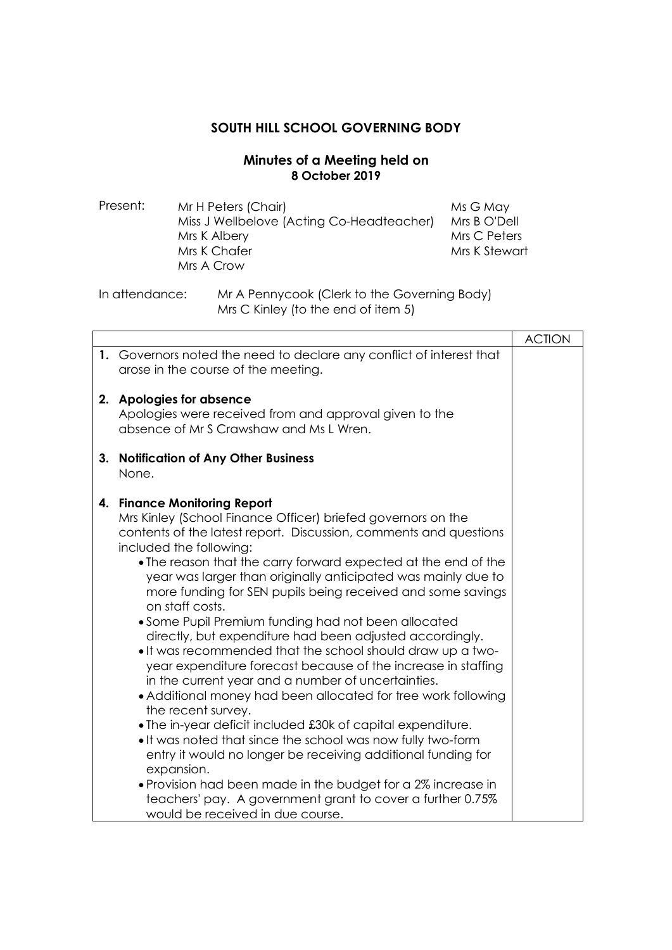## **SOUTH HILL SCHOOL GOVERNING BODY**

## **Minutes of a Meeting held on 8 October 2019**

Present: Mr H Peters (Chair) Miss J Wellbelove (Acting Co-Headteacher) Mrs K Albery Mrs K Chafer Mrs A Crow Ms G May Mrs B O'Dell Mrs C Peters Mrs K Stewart

## In attendance: Mr A Pennycook (Clerk to the Governing Body) Mrs C Kinley (to the end of item 5)

|    |                                                                                                                                                                                                                                                                                                                                                                                                                                                                                                                                                                                                                                                                                                                                                                                                                                                                                                                                                                                                                                                                                                                                                                                                    | <b>ACTION</b> |
|----|----------------------------------------------------------------------------------------------------------------------------------------------------------------------------------------------------------------------------------------------------------------------------------------------------------------------------------------------------------------------------------------------------------------------------------------------------------------------------------------------------------------------------------------------------------------------------------------------------------------------------------------------------------------------------------------------------------------------------------------------------------------------------------------------------------------------------------------------------------------------------------------------------------------------------------------------------------------------------------------------------------------------------------------------------------------------------------------------------------------------------------------------------------------------------------------------------|---------------|
|    | 1. Governors noted the need to declare any conflict of interest that<br>arose in the course of the meeting.                                                                                                                                                                                                                                                                                                                                                                                                                                                                                                                                                                                                                                                                                                                                                                                                                                                                                                                                                                                                                                                                                        |               |
| 2. | <b>Apologies for absence</b><br>Apologies were received from and approval given to the<br>absence of Mr S Crawshaw and Ms L Wren.                                                                                                                                                                                                                                                                                                                                                                                                                                                                                                                                                                                                                                                                                                                                                                                                                                                                                                                                                                                                                                                                  |               |
| 3. | <b>Notification of Any Other Business</b><br>None.                                                                                                                                                                                                                                                                                                                                                                                                                                                                                                                                                                                                                                                                                                                                                                                                                                                                                                                                                                                                                                                                                                                                                 |               |
| 4. | <b>Finance Monitoring Report</b><br>Mrs Kinley (School Finance Officer) briefed governors on the<br>contents of the latest report. Discussion, comments and questions<br>included the following:<br>• The reason that the carry forward expected at the end of the<br>year was larger than originally anticipated was mainly due to<br>more funding for SEN pupils being received and some savings<br>on staff costs.<br>• Some Pupil Premium funding had not been allocated<br>directly, but expenditure had been adjusted accordingly.<br>. It was recommended that the school should draw up a two-<br>year expenditure forecast because of the increase in staffing<br>in the current year and a number of uncertainties.<br>• Additional money had been allocated for tree work following<br>the recent survey.<br>• The in-year deficit included £30k of capital expenditure.<br>. It was noted that since the school was now fully two-form<br>entry it would no longer be receiving additional funding for<br>expansion.<br>• Provision had been made in the budget for a 2% increase in<br>teachers' pay. A government grant to cover a further 0.75%<br>would be received in due course. |               |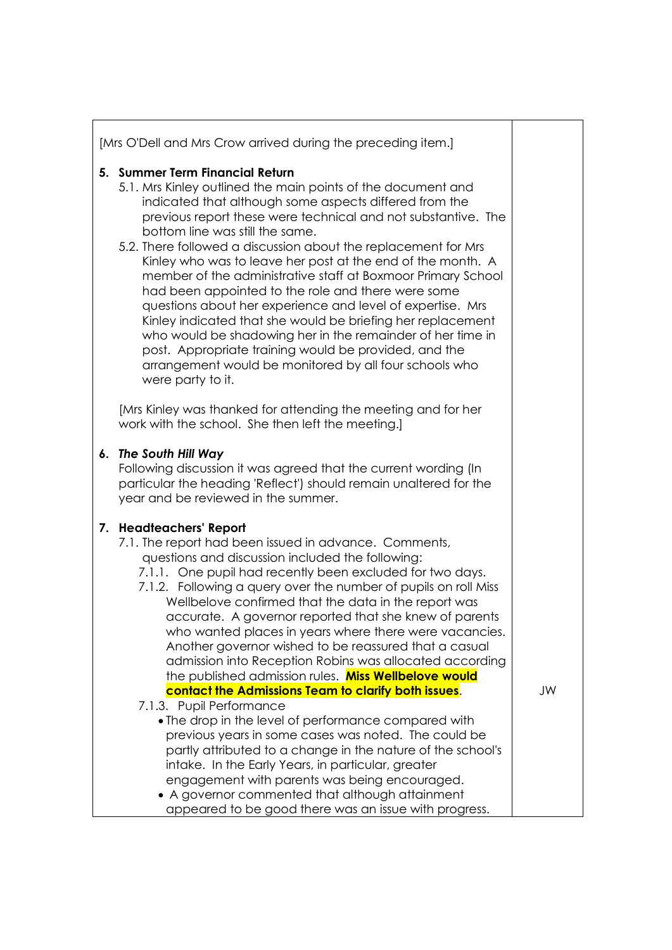| 5. Summer Term Financial Return<br>5.1. Mrs Kinley outlined the main points of the document and<br>indicated that although some aspects differed from the<br>previous report these were technical and not substantive. The<br>bottom line was still the same.<br>5.2. There followed a discussion about the replacement for Mrs<br>Kinley who was to leave her post at the end of the month. A<br>member of the administrative staff at Boxmoor Primary School<br>had been appointed to the role and there were some<br>questions about her experience and level of expertise. Mrs<br>Kinley indicated that she would be briefing her replacement<br>who would be shadowing her in the remainder of her time in<br>post. Appropriate training would be provided, and the<br>arrangement would be monitored by all four schools who<br>were party to it. |    |
|---------------------------------------------------------------------------------------------------------------------------------------------------------------------------------------------------------------------------------------------------------------------------------------------------------------------------------------------------------------------------------------------------------------------------------------------------------------------------------------------------------------------------------------------------------------------------------------------------------------------------------------------------------------------------------------------------------------------------------------------------------------------------------------------------------------------------------------------------------|----|
| [Mrs Kinley was thanked for attending the meeting and for her<br>work with the school. She then left the meeting.]                                                                                                                                                                                                                                                                                                                                                                                                                                                                                                                                                                                                                                                                                                                                      |    |
| 6. The South Hill Way<br>Following discussion it was agreed that the current wording (In<br>particular the heading 'Reflect') should remain unaltered for the<br>year and be reviewed in the summer.                                                                                                                                                                                                                                                                                                                                                                                                                                                                                                                                                                                                                                                    |    |
| 7. Headteachers' Report<br>7.1. The report had been issued in advance. Comments,<br>questions and discussion included the following:<br>7.1.1. One pupil had recently been excluded for two days.<br>7.1.2. Following a query over the number of pupils on roll Miss<br>Wellbelove confirmed that the data in the report was<br>accurate. A governor reported that she knew of parents<br>who wanted places in years where there were vacancies.<br>Another governor wished to be reassured that a casual<br>admission into Reception Robins was allocated according<br>the published admission rules. Miss Wellbelove would                                                                                                                                                                                                                            |    |
| contact the Admissions Team to clarify both issues.<br>7.1.3. Pupil Performance<br>• The drop in the level of performance compared with<br>previous years in some cases was noted. The could be<br>partly attributed to a change in the nature of the school's<br>intake. In the Early Years, in particular, greater<br>engagement with parents was being encouraged.<br>• A governor commented that although attainment                                                                                                                                                                                                                                                                                                                                                                                                                                | JW |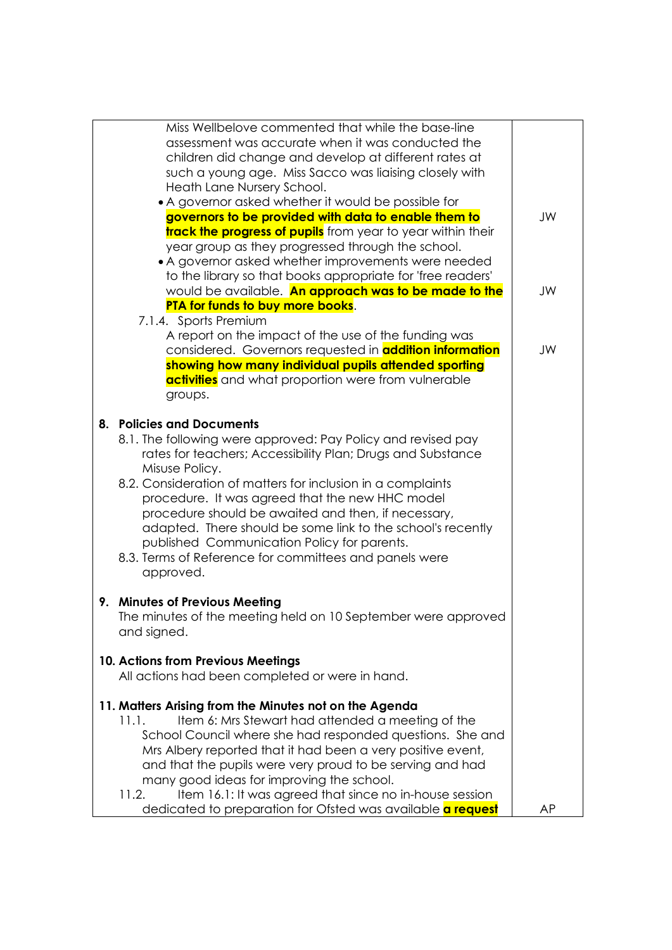| Miss Wellbelove commented that while the base-line                 |    |
|--------------------------------------------------------------------|----|
| assessment was accurate when it was conducted the                  |    |
| children did change and develop at different rates at              |    |
| such a young age. Miss Sacco was liaising closely with             |    |
| Heath Lane Nursery School.                                         |    |
| • A governor asked whether it would be possible for                |    |
| governors to be provided with data to enable them to               | JW |
| <b>track the progress of pupils</b> from year to year within their |    |
| year group as they progressed through the school.                  |    |
| • A governor asked whether improvements were needed                |    |
|                                                                    |    |
| to the library so that books appropriate for 'free readers'        |    |
| would be available. An approach was to be made to the              | JW |
| PTA for funds to buy more books.                                   |    |
| 7.1.4. Sports Premium                                              |    |
| A report on the impact of the use of the funding was               |    |
| considered. Governors requested in <b>addition information</b>     | JW |
| showing how many individual pupils attended sporting               |    |
| <b>activities</b> and what proportion were from vulnerable         |    |
| groups.                                                            |    |
|                                                                    |    |
| 8. Policies and Documents                                          |    |
| 8.1. The following were approved: Pay Policy and revised pay       |    |
| rates for teachers; Accessibility Plan; Drugs and Substance        |    |
| Misuse Policy.                                                     |    |
| 8.2. Consideration of matters for inclusion in a complaints        |    |
| procedure. It was agreed that the new HHC model                    |    |
| procedure should be awaited and then, if necessary,                |    |
|                                                                    |    |
| adapted. There should be some link to the school's recently        |    |
| published Communication Policy for parents.                        |    |
| 8.3. Terms of Reference for committees and panels were             |    |
| approved.                                                          |    |
|                                                                    |    |
| 9. Minutes of Previous Meeting                                     |    |
| The minutes of the meeting held on 10 September were approved      |    |
| and signed.                                                        |    |
|                                                                    |    |
| 10. Actions from Previous Meetings                                 |    |
| All actions had been completed or were in hand.                    |    |
|                                                                    |    |
| 11. Matters Arising from the Minutes not on the Agenda             |    |
| Item 6: Mrs Stewart had attended a meeting of the<br>11.1.         |    |
| School Council where she had responded questions. She and          |    |
|                                                                    |    |
| Mrs Albery reported that it had been a very positive event,        |    |
| and that the pupils were very proud to be serving and had          |    |
| many good ideas for improving the school.                          |    |
| 11.2.<br>Item 16.1: It was agreed that since no in-house session   |    |
| dedicated to preparation for Ofsted was available <b>a request</b> | ΑP |